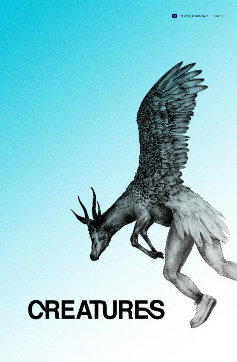# **CREATURES**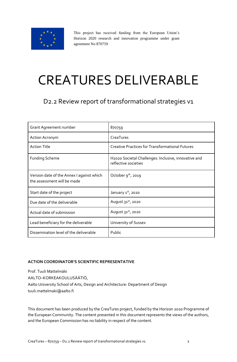

This project has received funding from the European Union's Horizon 2020 research and innovation programme under grant agreement No 870759

# CREATURES DELIVERABLE

D2.2 Review report of transformational strategies v1

| Grant Agreement number                                                   | 870759                                                                       |
|--------------------------------------------------------------------------|------------------------------------------------------------------------------|
| <b>Action Acronym</b>                                                    | CreaTures                                                                    |
| <b>Action Title</b>                                                      | <b>Creative Practices for Transformational Futures</b>                       |
| <b>Funding Scheme</b>                                                    | H2020 Societal Challenges: Inclusive, innovative and<br>reflective societies |
| Version date of the Annex I against which<br>the assessment will be made | October $9^{th}$ , 2019                                                      |
| Start date of the project                                                | January $1st$ , 2020                                                         |
| Due date of the deliverable                                              | August 31st, 2020                                                            |
| Actual date of submission                                                | August $31st$ , 2020                                                         |
| Lead beneficiary for the deliverable                                     | University of Sussex                                                         |
| Dissemination level of the deliverable                                   | Public                                                                       |

#### **ACTION COORDINATOR'S SCIENTIFIC REPRESENTATIVE**

Prof. Tuuli Mattelmäki AALTO–KORKEAKOULUSÄÄTIÖ, Aalto University School of Arts, Design and Architecture: Department of Design tuuli.mattelmaki@aalto.fi

This document has been produced by the CreaTures project, funded by the Horizon 2020 Programme of the European Community. The content presented in this document represents the views of the authors, and the European Commission has no liability in respect of the content.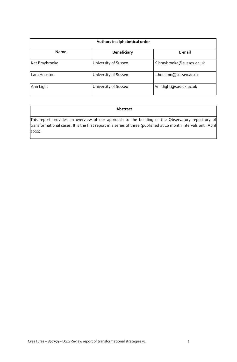| Authors in alphabetical order |                      |                           |  |  |
|-------------------------------|----------------------|---------------------------|--|--|
| <b>Name</b>                   | <b>Beneficiary</b>   | E-mail                    |  |  |
| Kat Braybrooke                | University of Sussex | K.braybrooke@sussex.ac.uk |  |  |
| Lara Houston                  | University of Sussex | L.houston@sussex.ac.uk    |  |  |
| Ann Light                     | University of Sussex | Ann.light@sussex.ac.uk    |  |  |

#### **Abstract**

This report provides an overview of our approach to the building of the Observatory repository of transformational cases. It is the first report in a series of three (published at 10 month intervals until April 2022).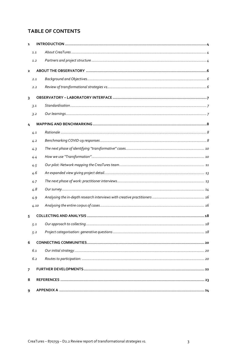# **TABLE OF CONTENTS**

|                         | 1.1  |  |
|-------------------------|------|--|
|                         | 1.2  |  |
| $\overline{\mathbf{2}}$ |      |  |
|                         | 2.1  |  |
|                         | 2.2  |  |
| 3                       |      |  |
|                         | 3.1  |  |
|                         | 3.2  |  |
| 4                       |      |  |
|                         | 4.1  |  |
|                         | 4.2  |  |
|                         | 4.3  |  |
|                         | 4.4  |  |
|                         | 4.5  |  |
|                         | 4.6  |  |
|                         | 4.7  |  |
|                         | 4.8  |  |
|                         | 4.9  |  |
|                         | 4.10 |  |
| 5                       |      |  |
|                         | 5.1  |  |
|                         | 5.2  |  |
| 6                       |      |  |
|                         | 6.1  |  |
|                         | 6.2  |  |
| $\overline{7}$          |      |  |
| 8                       |      |  |
| 9                       |      |  |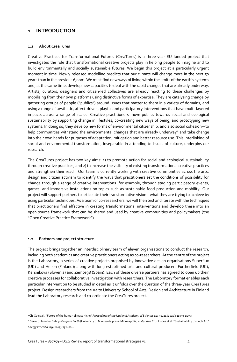### <span id="page-4-0"></span>**1 INTRODUCTION**

#### <span id="page-4-1"></span>**1.1 About CreaTures**

Creative Practices for Transformational Futures (CreaTures) is a three-year EU funded project that investigates the role that transformational creative projects play in helping people to imagine and to build environmentally and socially sustainable futures. We begin this project at a particularly urgent moment in time. Newly released modelling predicts that our climate will change more in the next 50 years than in the previous 6,000<sup>1</sup>. We must find new ways of living within the limits of the earth's systems and, at the same time, develop new capacities to deal with the rapid changes that are already underway. Artists, curators, designers and citizen-led collectives are already reacting to these challenges by mobilising from their own platforms using distinctive forms of expertise. They are catalysing change by gathering groups of people ("publics") around issues that matter to them in a variety of domains, and using a range of aesthetic, affect-driven, playful and participatory interventions that have multi-layered impacts across a range of scales. Creative practitioners move publics towards social and ecological sustainability by supporting change in lifestyles, co-creating new ways of being, and prototyping new systems. In doing so, they develop new forms of environmental citizenship, and also social cohesion—to help communities withstand the environmental changes that are already underway<sup>2</sup> and take change into their own hands for purposes of adaptation, mitigation and better resource use. This interlinking of social and environmental transformation, inseparable in attending to issues of culture, underpins our research.

The CreaTures project has two key aims: 1) to promote action for social and ecological sustainability through creative practices, and 2) to increase the visibility of existing transformational creative practices and strengthen their reach. Our team is currently working with creative communities across the arts, design and citizen activism to identify the ways that practitioners set the conditions of possibility for change through a range of creative interventions: for example, through staging participatory events, games, and immersive installations on topics such as sustainable food production and mobility. Our project will support partners to articulate their transformative vision—what they are trying to achieve by using particular techniques. As a team of co-researchers, we will then test and iterate with the techniques that practitioners find effective in creating transformational interventions and develop these into an open source framework that can be shared and used by creative communities and policymakers (the "Open Creative Practice Framework").

#### <span id="page-4-2"></span>**1.2 Partners and project structure**

The project brings together an interdisciplinary team of eleven organisations to conduct the research, including both academics and creative practitioners acting as co-researchers. At the centre of the project is the Laboratory, a series of creative projects organised by innovative design organisations Superflux (UK) and Hellon (Finland); along with long-established arts and cultural producers Furtherfield (UK), Kersnikova (Slovenia) and Zemos98 (Spain). Each of these diverse partners has agreed to open up their creative processes for collaborative investigation with researchers. The Laboratory format enables each particular intervention to be studied in detail as it unfolds over the duration of the three-year CreaTures project. Design researchers from the Aalto University School of Arts, Design and Architecture in Finland lead the Laboratory research and co-ordinate the CreaTures project.

<sup>1</sup> Chi Xu et al., "Future of the human climate niche" *Proceedings of the National Academy of Sciences* 117 no. 21 (2020): 11350-11355

<sup>2</sup> See e.g. Jennifer Gabrys *Program Earth* (University of Minnesota press: Minneapolis, 2016); Ana Cruz Lopes et al. "Sustainability through Art" *Energy Procedia* 119 (2017): 752–766.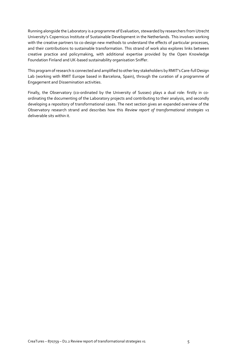Running alongside the Laboratory is a programme of Evaluation, stewarded by researchers from Utrecht University's Copernicus Institute of Sustainable Development in the Netherlands. This involves working with the creative partners to co-design new methods to understand the effects of particular processes, and their contributions to sustainable transformation. This strand of work also explores links between creative practice and policymaking, with additional expertise provided by the Open Knowledge Foundation Finland and UK-based sustainability organisation Sniffer.

This program of research is connected and amplified to other key stakeholders by RMIT's Care-full Design Lab (working with RMIT Europe based in Barcelona, Spain), through the curation of a programme of Engagement and Dissemination activities.

Finally, the Observatory (co-ordinated by the University of Sussex) plays a dual role: firstly in coordinating the documenting of the Laboratory projects and contributing to their analysis, and secondly developing a repository of transformational cases. The next section gives an expanded overview of the Observatory research strand and describes how this *Review report of transformational strategies v1*  deliverable sits within it.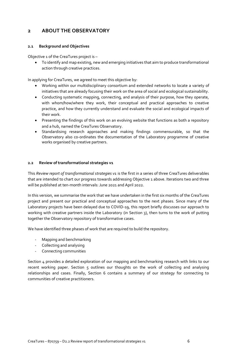# <span id="page-6-0"></span>**2 ABOUT THE OBSERVATORY**

#### <span id="page-6-1"></span>**2.1 Background and Objectives**

Objective 1 of the CreaTures project is –

• To identify and map existing, new and emerging initiatives that aim to produce transformational action through creative practices.

In applying for CreaTures, we agreed to meet this objective by:

- Working within our multidisciplinary consortium and extended networks to locate a variety of initiatives that are already focusing their work on the area of social and ecological sustainability.
- Conducting systematic mapping, connecting, and analysis of their purpose, how they operate, with whom/how/where they work, their conceptual and practical approaches to creative practice, and how they currently understand and evaluate the social and ecological impacts of their work.
- Presenting the findings of this work on an evolving website that functions as both a repository and a hub, named the CreaTures Observatory.
- Standardising research approaches and making findings commensurable, so that the Observatory also co-ordinates the documentation of the Laboratory programme of creative works organised by creative partners.

#### <span id="page-6-2"></span>**2.2 Review of transformational strategies v1**

This *Review report of transformational strategies v1* is the first in a series of three CreaTures deliverables that are intended to chart our progress towards addressing Objective 1 above. Iterations two and three will be published at ten-month intervals: June 2021 and April 2022.

In this version, we summarise the work that we have undertaken in the first six months of the CreaTures project and present our practical and conceptual approaches to the next phases. Since many of the Laboratory projects have been delayed due to COVID-19, this report briefly discusses our approach to working with creative partners inside the Laboratory (in Section 3), then turns to the work of putting together the Observatory repository of transformative cases.

We have identified three phases of work that are required to build the repository.

- Mapping and benchmarking
- Collecting and analysing
- Connecting communities

Section  $\mu$  provides a detailed exploration of our mapping and benchmarking research with links to our recent working paper. Section 5 outlines our thoughts on the work of collecting and analysing relationships and cases. Finally, Section 6 contains a summary of our strategy for connecting to communities of creative practitioners.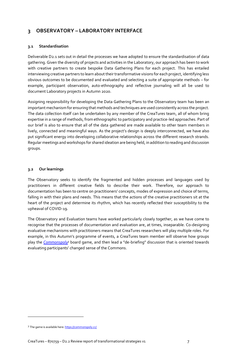# <span id="page-7-0"></span>**3 OBSERVATORY – LABORATORY INTERFACE**

#### <span id="page-7-1"></span>**3.1 Standardisation**

Deliverable D2.1 sets out in detail the processes we have adopted to ensure the standardisation of data gathering. Given the diversity of projects and activities in the Laboratory, our approach has been to work with creative partners to create bespoke Data Gathering Plans for each project. This has entailed interviewing creative partners to learn about their transformative visions for each project, identifying less obvious outcomes to be documented and evaluated and selecting a suite of appropriate methods – for example, participant observation, auto-ethnography and reflective journaling will all be used to document Laboratory projects in Autumn 2020.

Assigning responsibility for developing the Data Gathering Plans to the Observatory team has been an important mechanism for ensuring that methods and techniques are used consistently across the project. The data collection itself can be undertaken by any member of the CreaTures team, all of whom bring expertise in a range of methods, from ethnographic to participatory and practice-led approaches. Part of our brief is also to ensure that all of the data gathered are made available to other team members in lively, connected and meaningful ways. As the project's design is deeply interconnected, we have also put significant energy into developing collaborative relationships across the different research strands. Regular meetings and workshops for shared ideation are being held, in addition to reading and discussion groups.

#### <span id="page-7-2"></span>**3.2 Our learnings**

The Observatory seeks to identify the fragmented and hidden processes and languages used by practitioners in different creative fields to describe their work. Therefore, our approach to documentation has been to centre on practitioners' concepts, modes of expression and choice of terms, falling in with their plans and needs. This means that the actions of the creative practitioners sit at the heart of the project and determine its rhythm, which has recently reflected their susceptibility to the upheaval of COVID-19.

The Observatory and Evaluation teams have worked particularly closely together, as we have come to recognise that the processes of documentation and evaluation are, at times, inseparable. Co-designing evaluative mechanisms with practitioners means that CreaTures researchers will play multiple roles. For example, in this Autumn's programme of events, a CreaTures team member will observe how groups play the *[Commonspoly](https://commonspoly.cc/)<sup>3</sup>* board game, and then lead a "de-briefing" discussion that is oriented towards evaluating participants' changed sense of the Commons.

<sup>3</sup> The game is available here[: https://commonspoly.cc/](https://commonspoly.cc/)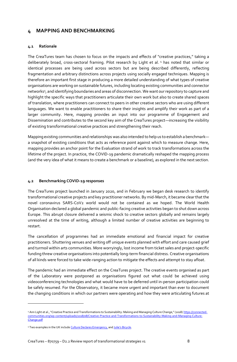## <span id="page-8-0"></span>**4 MAPPING AND BENCHMARKING**

#### <span id="page-8-1"></span>**4.1 Rationale**

The CreaTures team has chosen to focus on the impacts and effects of "creative practices," taking a deliberately broad, cross-sectoral framing. Pilot research by Light et al. <sup>4</sup> has noted that similar or identical processes are being used across sectors but are being described differently, reflecting fragmentation and arbitrary distinctions across projects using socially engaged techniques. Mapping is therefore an important first stage in producing a more detailed understanding of what types of creative organisations are working on sustainable futures, including locating existing communities and connector networks<sup>5</sup> , and identifying boundaries and areas of disconnection. We want our repository to capture and highlight the specific ways that practitioners articulate their own work but also to create shared spaces of translation, where practitioners can connect to peers in other creative sectors who are using different languages. We want to enable practitioners to share their insights and amplify their work as part of a larger community. Here, mapping provides an input into our programme of Engagement and Dissemination and contributes to the second key aim of the CreaTures project—increasing the visibility of existing transformational creative practices and strengthening their reach.

Mapping existing communities and relationships was also intended to help us to establish a benchmark a snapshot of existing conditions that acts as reference point against which to measure change. Here, mapping provides an anchor point for the Evaluation strand of work to track transformations across the lifetime of the project. In practice, the COVID-19 pandemic dramatically reshaped the mapping process (and the very idea of what it means to create a benchmark or a baseline), as explored in the next section.

#### <span id="page-8-2"></span>**4.2 Benchmarking COVID-19 responses**

The CreaTures project launched in January 2020, and in February we began desk research to identify transformational creative projects and key practitioner networks. By mid-March, it became clear that the novel coronavirus SARS-CoV2 world would not be contained as we hoped. The World Health Organisation declared a global pandemic and public-facing creative activities began to shut down across Europe. This abrupt closure delivered a seismic shock to creative sectors globally and remains largely unresolved at the time of writing, although a limited number of creative activities are beginning to restart.

The cancellation of programmes had an immediate emotional and financial impact for creative practitioners. Shuttering venues and writing off unique events planned with effort and care caused grief and turmoil within arts communities. More worryingly, lost income from ticket sales and project-specific funding threw creative organisations into potentially long-term financial distress. Creative organisations of all kinds were forced to take wide-ranging action to mitigate the effects and attempt to stay afloat.

The pandemic had an immediate effect on the CreaTures project. The creative events organised as part of the Laboratory were postponed as organisations figured out what could be achieved using videoconferencing technologies and what would have to be deferred until in-person participation could be safely resumed. For the Observatory, it became more urgent and important than ever to document the changing conditions in which our partners were operating and how they were articulating futures at

<sup>4</sup> Ann Light et al., "Creative Practice and Transformations to Sustainability: Making and Managing Culture Change," (2018) [https://connected](https://connected-communities.org/wp-content/uploads/2018/08/Creative-Practice-and-Transformations-to-Sustainability-Making-and-Managing-Culture-Change.pdf)[communities.org/wp-content/uploads/2018/08/Creative-Practice-and-Transformations-to-Sustainability-Making-and-Managing-Culture-](https://connected-communities.org/wp-content/uploads/2018/08/Creative-Practice-and-Transformations-to-Sustainability-Making-and-Managing-Culture-Change.pdf)[Change.pdf](https://connected-communities.org/wp-content/uploads/2018/08/Creative-Practice-and-Transformations-to-Sustainability-Making-and-Managing-Culture-Change.pdf)

<sup>&</sup>lt;sup>5</sup> Two examples in the UK includ[e Culture Declares Emergency,](https://www.culturedeclares.org/) and [Julie's Bicycle](https://juliesbicycle.com/).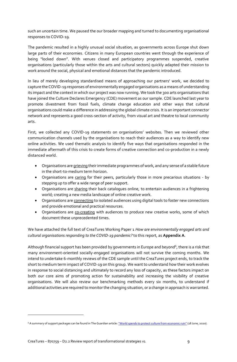such an uncertain time. We paused the our broader mapping and turned to documenting organisational responses to COVID-19.

The pandemic resulted in a highly unusual social situation, as governments across Europe shut down large parts of their economies. Citizens in many European countries went through the experience of being "locked down". With venues closed and participatory programmes suspended, creative organisations (particularly those within the arts and cultural sectors) quickly adapted their mission to work around the social, physical and emotional distances that the pandemic introduced.

In lieu of merely developing standardised means of approaching our partners' work, we decided to capture the COVID-19 responses of environmentally engaged organisations as a means of understanding its impact and the context in which our project was now running. We took the 300 arts organisations that have joined the Culture Declares Emergency (CDE) movement as our sample. CDE launched last year to promote divestment from fossil fuels, climate change education and other ways that cultural organisations could make a difference in addressing the global climate crisis. It is an important connector network and represents a good cross-section of activity, from visual art and theatre to local community arts.

First, we collected any COVID-19 statements on organisations' websites. Then we reviewed other communication channels used by the organisations to reach their audiences as a way to identify new online activities. We used thematic analysis to identify five ways that organisations responded in the immediate aftermath of this crisis to create forms of creative connection and co-production in a newly distanced world.

- Organisations are grieving their immediate programmes of work, and any sense of a stable future in the short-to-medium term horizon.
- Organisations are caring for their peers, particularly those in more precarious situations by stepping up to offer a wide range of peer support.
- Organisations are sharing their back catalogues online, to entertain audiences in a frightening world; creating a new media landscape of online creative work.
- Organisations are connecting to isolated audiences using digital tools to foster new connections and provide emotional and practical resources.
- Organisations are co-creating with audiences to produce new creative works, some of which document these unprecedented times.

We have attached the full text of CreaTures Working Paper 1 *How are environmentally engaged arts and cultural organisations responding to the COVID-19 pandemic?* to this report, as **Appendix A**.

Although financial support has been provided by governments in Europe and beyond $^6$ , there is a risk that many environment-oriented socially-engaged organisations will not survive the coming months. We intend to undertake 6-monthly reviews of the CDE sample until the CreaTures project ends, to track the short to medium term impact of COVID-19 on this group. We want to understand how their work evolves in response to social distancing and ultimately to record any loss of capacity, as these factors impact on both our core aims of promoting action for sustainability and increasing the visibility of creative organisations. We will also review our benchmarking methods every six months, to understand if additional activities are required to monitor the changing situation, or a change in approach is warranted.

<sup>&</sup>lt;sup>6</sup> A summary of support packages can be found in The Guardian article: ["World spends to protect culture from economic ruin"](file://///Users/larahouston/Documents/CreaTures/Observatory/Del_2.2/We%20have%20attached%20the%20full%20text%20of%20CreaTures%20Working%20Paper%201%20) (18 June, 2020).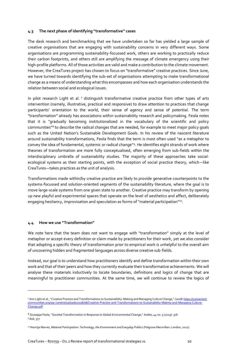#### <span id="page-10-0"></span>**4.3 The next phase of identifying "transformative" cases**

The desk research and benchmarking that we have undertaken so far has yielded a large sample of creative organisations that are engaging with sustainability concerns in very different ways. Some organisations are programming sustainability-focussed work, others are working to practically reduce their carbon footprints, and others still are amplifying the message of climate emergency using their high-profile platforms. All of those activities are valid and make a contribution to the climate movement. However, the CreaTures project has chosen to focus on "transformative" creative practices. Since June, we have turned towards identifying the sub-set of organisations attempting to make transformational change as a means of understanding what this encompasses and how each organisation understands the relation between social and ecological issues.

In pilot research Light et al. 7 distinguish transformative creative practice from other types of arts intervention (namely, illustrative, practical and responsive) to draw attention to practices that change participants' orientation to the world, their sense of agency and sense of potential. The term "transformation" already has associations within sustainability research and policymaking. Feola notes that it is "gradually becoming institutionalized in the vocabulary of the scientific and policy communities"<sup>8</sup> to describe the radical changes that are needed, for example to meet major policy goals such as the United Nation's Sustainable Development Goals. In his review of the nascent literature around sustainability transformations, Feola finds that the term is most often used "as a metaphor to convey the idea of fundamental, systemic or radical change"<sup>9</sup> . He identifies eight strands of work where theories of transformation are more fully conceptualised, often emerging from sub-fields within the interdisciplinary umbrella of sustainability studies. The majority of these approaches take socialecological systems as their starting points, with the exception of social practice theory, which—like CreaTures—takes practices as the unit of analysis.

Transformations made within/by creative practice are likely to provide generative counterpoints to the systems-focussed and solution-oriented segments of the sustainability literature, where the goal is to move large-scale systems from one given state to another. Creative practice may transform by opening up new playful and experimental spaces that operate on the level of aesthetics and affect, deliberately engaging hesitancy, improvisation and speculation as forms of "material participation"<sup>10</sup>.

#### <span id="page-10-1"></span>**4.4 How we use "Transformation"**

 $\overline{a}$ 

We note here that the team does not want to engage with "transformation" simply at the level of metaphor or accept every definition or claim made by practitioners for their work, yet we also consider that adopting a specific theory of transformation prior to empirical work is unhelpful to the overall aim of uncovering hidden and fragmented languages across diverse creative sub-fields.

Instead, our goal is to understand how practitioners identify and define transformation within their own work and that of their peers and how they currently evaluate their transformative achievements. We will analyse these materials inductively to locate boundaries, definitions and logics of change that are meaningful to practitioner communities. At the same time, we will continue to review the logics of

<sup>7</sup> Ann Light et al., "Creative Practice and Transformations to Sustainability: Making and Managing Culture Change," (2018) [https://connected](https://connected-communities.org/wp-content/uploads/2018/08/Creative-Practice-and-Transformations-to-Sustainability-Making-and-Managing-Culture-Change.pdf)[communities.org/wp-content/uploads/2018/08/Creative-Practice-and-Transformations-to-Sustainability-Making-and-Managing-Culture-](https://connected-communities.org/wp-content/uploads/2018/08/Creative-Practice-and-Transformations-to-Sustainability-Making-and-Managing-Culture-Change.pdf)[Change.pdf](https://connected-communities.org/wp-content/uploads/2018/08/Creative-Practice-and-Transformations-to-Sustainability-Making-and-Managing-Culture-Change.pdf)

<sup>8</sup> Giuseppe Feola, "Societal Transformation in Response to Global Environmental Change," *Ambio*, 44 no. 5 (2015): 376 9 Ibid, 377

<sup>10</sup> Noortje Marres, *Material Participation: Technology, the Environment and Everyday Publics* (Palgrave Macmillan: London, 2012).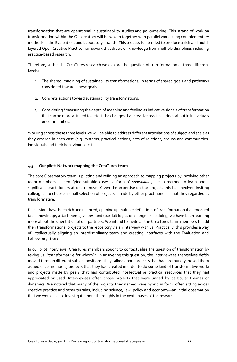transformation that are operational in sustainability studies and policymaking. This strand of work on transformation within the Observatory will be woven together with parallel work using complementary methods in the Evaluation, and Laboratory strands. This process is intended to produce a rich and multilayered Open Creative Practice framework that draws on knowledge from multiple disciplines including practice-based research.

Therefore, within the CreaTures research we explore the question of transformation at three different levels:

- 1. The shared imagining of sustainability transformations, in terms of shared goals and pathways considered towards these goals.
- 2. Concrete actions toward sustainability transformations.
- 3. Considering / measuring the depth of meaning and feeling as indicative signals of transformation that can be more attuned to detect the changes that creative practice brings about in individuals or communities.

Working across these three levels we will be able to address different articulations of subject and scale as they emerge in each case (e.g. systems, practical actions, sets of relations, groups and communities, individuals and their behaviours etc.).

#### <span id="page-11-0"></span>**4.5 Our pilot: Network mapping the CreaTures team**

The core Observatory team is piloting and refining an approach to mapping projects by involving other team members in identifying suitable cases—a form of *snowballing*, i.e. a method to learn about significant practitioners at one remove. Given the expertise on the project, this has involved inviting colleagues to choose a small selection of projects—made by other practitioners—that they regarded as transformative.

Discussions have been rich and nuanced, opening up multiple definitions of transformation that engaged tacit knowledge, attachments, values, and (partial) logics of change. In so doing, we have been learning more about the orientation of our partners. We intend to invite all the CreaTures team members to add their transformational projects to the repository via an interview with us. Practically, this provides a way of intellectually aligning an interdisciplinary team and creating interfaces with the Evaluation and Laboratory strands.

In our pilot interviews, CreaTures members sought to contextualise the question of transformation by asking us: "transformative for whom?". In answering this question, the interviewees themselves deftly moved through different subject positions: they talked about projects that had profoundly moved them as audience members; projects that they had created in order to do some kind of transformative work; and projects made by peers that had contributed intellectual or practical resources that they had appreciated or used. Interviewees often chose projects that were united by particular themes or dynamics. We noticed that many of the projects they named were hybrid in form, often sitting across creative practice and other terrains, including science, law, policy and economy—an initial observation that we would like to investigate more thoroughly in the next phases of the research.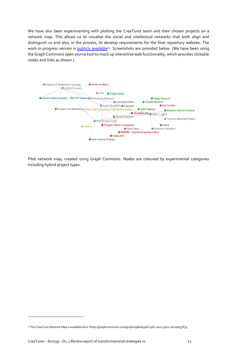We have also been experimenting with plotting the CreaTures team and their chosen projects on a network map. This allows us to visualise the social and intellectual networks that both align and distinguish us and also, in the process, to develop requirements for the final repository website. The work-in-progress version is [publicly available](https://graphcommons.com/graphs/980d936d-92fc-4e12-9702-1b21eb55ff33)<sup>11</sup>. Screenshots are provided below. (We have been using the Graph Commons open source tool to mock up interactive web functionality, which provides clickable nodes and links as shown.)



Pilot network map, created using Graph Commons. Nodes are coloured by experimental categories including hybrid project types.

<sup>11</sup> The CreaTures Network Map is available here: https://graphcommons.com/graphs/98od936d-92fc-4e12-9702-1b21eb55ff33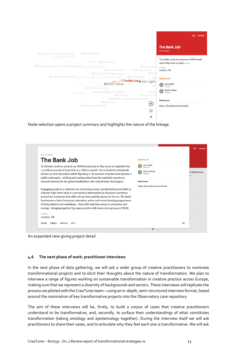|                                                                                                                                                                       | <b>EXPAND</b><br><b>EDIT</b>                                                |
|-----------------------------------------------------------------------------------------------------------------------------------------------------------------------|-----------------------------------------------------------------------------|
| Channel 4 Paralympics coverage<br><b>O</b> Dinner en Blanc                                                                                                            | <b>The Bank Job</b><br><b>Arts Project</b>                                  |
| <b>OLizzie Crouch</b><br>OZoo<br>Citizen Sense                                                                                                                        | 'In October 2018 we printed our HSCB bonds<br>and in May 2019 we explo more |
| Science Gallery London - MOUTHY season @ Forensic Architecture<br><b>• Happy Museu</b><br>Company Drinks<br>Climate Museum<br>Lara Houston® Constant<br><b>O</b> Fast | Location<br>London, UK                                                      |
| <b>Escape from Woomera &amp; Taylor Digital Learning Studio @ Tate Britain CO Julie's Bicycle</b><br>O The Bank Job<br>Ann Light<br><b>Ruth Catlow</b>                | Admires (2)<br>Ann Light<br>P                                               |
| ŵ<br><b>Kat Braybrooke</b><br>People's Bank of Govanhill<br>$\circ$ ONC.<br>@ Calafou<br><b>•</b> Feral Trade<br><b>Extinction Re</b>                                 | Person<br><b>Ruth Catlow</b><br>P<br>Person                                 |
| RADMIN - Festival of Administration<br><b>O</b> make_shift<br>$\blacktriangleright$                                                                                   | Reference                                                                   |
| Open Source Ecology<br>5.7<br>K M                                                                                                                                     | https://bankjob.pictures/bank                                               |
| $\,{}^+$                                                                                                                                                              |                                                                             |

Node selection opens a project summary and highlights the nature of the linkage.

| <b>The Bank Job</b>                                                                                                                                                                                                                                                                                                                                                                                                                                                                                        | Admires (2)                   |                             |
|------------------------------------------------------------------------------------------------------------------------------------------------------------------------------------------------------------------------------------------------------------------------------------------------------------------------------------------------------------------------------------------------------------------------------------------------------------------------------------------------------------|-------------------------------|-----------------------------|
| 'In October 2018 we printed our HSCB bonds and in May 2019 we exploded this                                                                                                                                                                                                                                                                                                                                                                                                                                | Ann Light<br>Person           |                             |
| 1.2 million pounds of local debt in a 'debt in transit' van in front of a Docklands<br>skyline an artwork/action called 'Big Bang 2.' In summer 2019 the bank became a<br>public mint again - striking and casting coins from the exploded remains as                                                                                                                                                                                                                                                      | <b>Ruth Catlow</b><br>Person  | <b>ir HSCB</b> bonds<br>pre |
| artwork/interest for the global bondholders who helped make this happen.                                                                                                                                                                                                                                                                                                                                                                                                                                   | Reference                     |                             |
| Engaging people in a collective act of printing money and abolishing local debt in<br>a former high street bank is a provocative intervention in dominant narratives<br>around the economics that affect all our lives and the planet we live on. The bank<br>has become a hub of economic education, action and events hosting programmes<br>of lively debates and workshops - from debt and democracy to economics and<br>ecology - bringing together big name pundits with local action groups at HSCB. | https://bankjob.pictures/bank |                             |
| Location<br>London, UK                                                                                                                                                                                                                                                                                                                                                                                                                                                                                     |                               |                             |

<span id="page-13-0"></span>An expanded view giving project detail.

#### <span id="page-13-1"></span>**4.6 The next phase of work: practitioner interviews**

In the next phase of data gathering, we will ask a wider group of creative practitioners to nominate transformational projects and to elicit their thoughts about the nature of transformation. We plan to interview a range of figures working on sustainable transformation in creative practice across Europe, making sure that we represent a diversity of backgrounds and sectors. These interviews will replicate the process we piloted with the CreaTures team—using an in-depth, semi-structured interview format, based around the nomination of key transformative projects into the Observatory case repository.

The aim of these interviews will be, firstly, to build a corpus of cases that creative practitioners understand to be transformative, and, secondly, to surface their understandings of what constitutes transformation (taking ontology and epistemology together). During the interview itself we will ask practitioners to share their cases, and to articulate why they feel each one is transformative. We will ask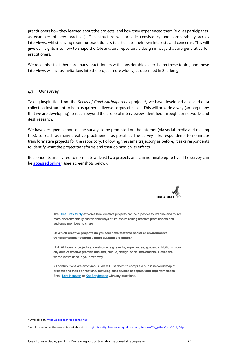practitioners how they learned about the projects, and how they experienced them (e.g. as participants, as examples of peer practices). This structure will provide consistency and comparability across interviews, whilst leaving room for practitioners to articulate their own interests and concerns. This will give us insights into how to shape the Observatory repository's design in ways that are generative for practitioners.

We recognise that there are many practitioners with considerable expertise on these topics, and these interviews will act as invitations into the project more widely, as described in Section 5.

#### <span id="page-14-0"></span>**4.7 Our survey**

Taking inspiration from the *Seeds of Good Anthropocenes* project<sup>12</sup>, we have developed a second data collection instrument to help us gather a diverse corpus of cases. This will provide a way (among many that we are developing) to reach beyond the group of interviewees identified through our networks and desk research.

We have designed a short online survey, to be promoted on the Internet (via social media and mailing lists), to reach as many creative practitioners as possible. The survey asks respondents to nominate transformative projects for the repository. Following the same trajectory as before, it asks respondents to identify what the project transforms and their opinion on its effects.

Respondents are invited to nominate at least two projects and can nominate up to five. The survey can b[e accessed online](https://universityofsussex.eu.qualtrics.com/jfe/form/SV_5AbkvFsmQGN9DAp)<sup>13</sup> (see screenshots below).



The CreaTures study explores how creative projects can help people to imagine and to live more environmentally sustainable ways of life. We're asking creative practitioners and audience members to share:

Q: Which creative projects do you feel have fostered social or environmental transformations towards a more sustainable future?

Hint: All types of projects are welcome (e.g. events, experiences, spaces, exhibitions) from any area of creative practice (the arts, culture, design, social movements). Define the words we've used in your own way.

All contributions are anonymous. We will use them to compile a public network map of projects and their connections, featuring case studies of popular and important nodes. Email Lara Houston or Kat Braybrooke with any questions.

<sup>12</sup> Available at[: https://goodanthropocenes.net/](https://goodanthropocenes.net/)

<sup>13</sup> A pilot version of the survey is available at[: https://universityofsussex.eu.qualtrics.com/jfe/form/SV\\_5AbkvFsmQGN9DAp](https://universityofsussex.eu.qualtrics.com/jfe/form/SV_5AbkvFsmQGN9DAp)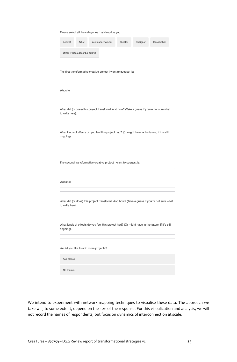|  |  | Please select all the categories that describe you: |  |  |
|--|--|-----------------------------------------------------|--|--|
|  |  |                                                     |  |  |

| Activist        | Artist                        | Audience member                                                                                 | Curator | Designer | Researcher |
|-----------------|-------------------------------|-------------------------------------------------------------------------------------------------|---------|----------|------------|
|                 | Other (Please describe below) |                                                                                                 |         |          |            |
|                 |                               | The first transformative creative project I want to suggest is:                                 |         |          |            |
| Website:        |                               |                                                                                                 |         |          |            |
| to write here). |                               | What did (or does) this project transform? And how? (Take a guess if you're not sure what       |         |          |            |
| ongoing).       |                               | What kinds of effects do you feel this project had? (Or might have in the future, if it's still |         |          |            |
|                 |                               | The second transformative creative project I want to suggest is:                                |         |          |            |
| Website:        |                               |                                                                                                 |         |          |            |
| to write here). |                               | What did (or does) this project transform? And how? (Take a guess if you're not sure what       |         |          |            |
| ongoing).       |                               | What kinds of effects do you feel this project had? (Or might have in the future, if it's still |         |          |            |
|                 |                               |                                                                                                 |         |          |            |
|                 |                               | Would you like to add more projects?                                                            |         |          |            |
| Yes please      |                               |                                                                                                 |         |          |            |

We intend to experiment with network mapping techniques to visualise these data. The approach we take will, to some extent, depend on the size of the response. For this visualization and analysis, we will not record the names of respondents, but focus on dynamics of interconnection at scale.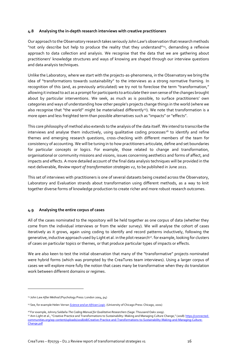#### <span id="page-16-0"></span>**4.8 Analysing the in-depth research interviews with creative practitioners**

Our approach to the Observatory research takes seriously John Law's observation that research methods "not only describe but help to produce the reality that they understand"<sup>14</sup>, demanding a reflexive approach to data collection and analysis. We recognise that the data that we are gathering about practitioners' knowledge structures and ways of knowing are shaped through our interview questions and data analysis techniques.

Unlike the Laboratory, where we start with the projects-as-phenomena, in the Observatory we bring the idea of "transformations towards sustainability" to the interviews as a strong normative framing. In recognition of this (and, as previously articulated) we try not to foreclose the term "transformation," allowing it instead to act as a prompt for participants to articulate their own sense of the changes brought about by particular interventions. We seek, as much as is possible, to surface practitioners' own categories and ways of understanding how other people's projects change things in the world (where we also recognise that "the world" might be materialised differently<sup>15</sup>). We note that transformation is a more open and less freighted term than possible alternatives such as "impacts" or "effects".

This core philosophy of method also extends to the analysis of the data itself. We intend to transcribe the interviews and analyse them inductively, using qualitative coding processes<sup>16</sup> to identify and refine themes and emerging research questions, cross-checking with different members of the team for consistency of accounting. We will be tuning in to how practitioners articulate, define and set boundaries for particular concepts or logics. For example, those related to change and transformation, organisational or community missions and visions, issues concerning aesthetics and forms of affect, and impacts and effects. A more detailed account of the final data analysis techniques will be provided in the next deliverable, *Review report of transformation strategies v2*, to be published in June 2021.

This set of interviews with practitioners is one of several datasets being created across the Observatory, Laboratory and Evaluation strands about transformation using different methods, as a way to knit together diverse forms of knowledge production to create richer and more robust research outcomes.

#### <span id="page-16-1"></span>**4.9 Analysing the entire corpus of cases**

All of the cases nominated to the repository will be held together as one corpus of data (whether they come from the individual interviews or from the wider survey). We will analyse the cohort of cases iteratively as it grows, again using coding to identify and record patterns inductively, following the generative, inductive approach used by Light et al. in the pilot research<sup>17</sup>. for example, looking for clusters of cases on particular topics or themes, or that produce particular types of impacts or effects.

We are also keen to test the initial observation that many of the "transformative" projects nominated were hybrid forms (which was prompted by the CreaTures team interviews). Using a larger corpus of cases we will explore more fully the notion that cases many be transformative when they do translation work between different domains or regimes.

<sup>14</sup> John Law *After Method* (Psychology Press: London 2004, p4)

<sup>15</sup> See, for example Helen Verran *[Science and an African Logic.](http://press.uchicago.edu/ucp/books/book/chicago/S/bo3631540.html)* (University of Chicago Press: Chicago, 2001)

<sup>16</sup> For example, Johnny Saldaña *The Coding Manual for Qualitative Researchers* (Sage: Thousand Oaks 2009).

<sup>17</sup> Ann Light et al., "Creative Practice and Transformations to Sustainability: Making and Managing Culture Change," (2018) [https://connected](https://connected-communities.org/wp-content/uploads/2018/08/Creative-Practice-and-Transformations-to-Sustainability-Making-and-Managing-Culture-Change.pdf)[communities.org/wp-content/uploads/2018/08/Creative-Practice-and-Transformations-to-Sustainability-Making-and-Managing-Culture-](https://connected-communities.org/wp-content/uploads/2018/08/Creative-Practice-and-Transformations-to-Sustainability-Making-and-Managing-Culture-Change.pdf)[Change.pdf](https://connected-communities.org/wp-content/uploads/2018/08/Creative-Practice-and-Transformations-to-Sustainability-Making-and-Managing-Culture-Change.pdf)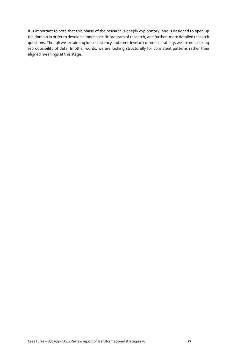It is important to note that this phase of the research is deeply exploratory, and is designed to open up the domain in order to develop a more specific program of research, and further, more detailed research questions. Though we are aiming for consistency and some level of commensurability, we are not seeking reproducibility of data. In other words, we are looking structurally for consistent patterns rather than aligned meanings at this stage.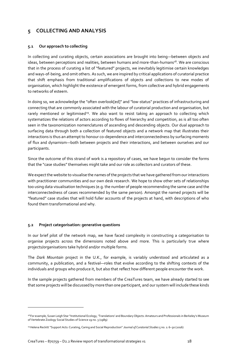# <span id="page-18-0"></span>**5 COLLECTING AND ANALYSIS**

#### <span id="page-18-1"></span>**5.1 Our approach to collecting**

In collecting and curating objects, certain associations are brought into being—between objects and ideas, between perceptions and realities, between humans and more-than-humans<sup>18</sup>. We are conscious that in the process of curating a list of "featured" projects, we inevitably legitimise certain knowledges and ways-of-being, and omit others. As such, we are inspired by critical applications of curatorial practice that shift emphasis from traditional amplifications of objects and collections to new modes of organisation, which highlight the existence of emergent forms, from collective and hybrid engagements to networks of esteem.

In doing so, we acknowledge the "often overlook[ed]" and "low-status" practices of infrastructuring and connecting that are commonly associated with the labour of curatorial production and organisation, but rarely mentioned or legitimised<sup>19</sup>. We also want to resist taking an approach to collecting which systematizes the relations of actors according to flows of hierarchy and competition, as is all too often seen in the taxonomization nomenclatures of ascending and descending objects. Our dual approach to surfacing data through both a collection of featured objects and a network map that illustrates their interactions is thus an attempt to honour co-dependence and interconnectedness by surfacing moments of flux and dynamism—both between projects and their interactions, and between ourselves and our participants.

Since the outcome of this strand of work is a repository of cases, we have begun to consider the forms that the "case studies" themselves might take and our role as collectors and curators of these.

We expect the website to visualise the names of the projects that we have gathered from our interactions with practitioner communities and our own desk research. We hope to show other sets of relationships too using data visualisation techniques (e.g. the number of people recommending the same case and the interconnectedness of cases recommended by the same person). Amongst the named projects will be "featured" case studies that will hold fuller accounts of the projects at hand, with descriptions of who found them transformational and why.

#### <span id="page-18-2"></span>**5.2 Project categorisation: generative questions**

In our brief pilot of the network map, we have faced complexity in constructing a categorisation to organise projects across the dimensions noted above and more. This is particularly true where projects/organisations take hybrid and/or multiple forms.

The *Dark Mountain* project in the U.K., for example, is variably understood and articulated as a community, a publication, and a festival—roles that evolve according to the shifting contexts of the individuals and groups who produce it, but also that reflect how different people encounter the work.

In the sample projects gathered from members of the CreaTures team, we have already started to see that some projects will be discussed by more than one participant, and our system will include these kinds

<sup>&</sup>lt;sup>18</sup> For example, Susan Leigh Star "Institutional Ecology, 'Translations' and Boundary Objects: Amateurs and Professionals in Berkeley's Museum of Vertebrate Zoology Social Studies of Science 19 no. 3 (1989)

<sup>19</sup> Helena Reckitt "Support Acts: Curating, Caring and Social Reproduction" *Journal of Curatorial Studies* 5 no. 1: 6–30 (2016)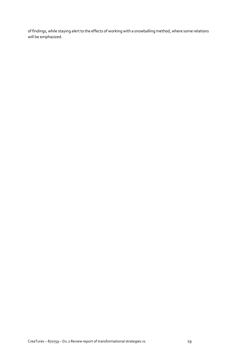of findings, while staying alert to the effects of working with a snowballing method, where some relations will be emphasized.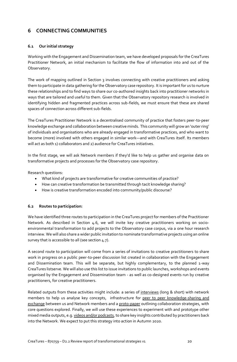# <span id="page-20-0"></span>**6 CONNECTING COMMUNITIES**

#### <span id="page-20-1"></span>**6.1 Our initial strategy**

Working with the Engagement and Dissemination team, we have developed proposals for the CreaTures Practitioner Network, an initial mechanism to facilitate the flow of information into and out of the Observatory.

The work of mapping outlined in Section 3 involves connecting with creative practitioners and asking them to participate in data gathering for the Observatory case repository. It is important for us to nurture these relationships and to find ways to share our co-authored insights back into practitioner networks in ways that are tailored and useful to them. Given that the Observatory repository research is involved in identifying hidden and fragmented practices across sub-fields, we must ensure that these are shared spaces of connection across different sub-fields.

The CreaTures Practitioner Network is a decentralised community of practice that fosters peer-to-peer knowledge exchange and collaboration between creative minds. This community will grow an 'outer ring' of individuals and organisations who are already engaged in transformative practices, and who want to become (more) involved with others engaged in similar work—and with CreaTures itself. Its members will act as both 1) collaborators and 2) audience for CreaTures initiatives.

In the first stage, we will ask Network members if they'd like to help us gather and organise data on transformative projects and processes for the Observatory case repository.

Research questions:

- What kind of projects are transformative for creative communities of practice?
- How can creative transformation be transmitted through tacit knowledge sharing?
- How is creative transformation encoded into community/public discourse?

#### <span id="page-20-2"></span>**6.2 Routes to participation:**

We have identified three routes to participation in the CreaTures project for members of the Practitioner Network. As described in Section 4.6, we will invite key creative practitioners working on socioenvironmental transformation to add projects to the Observatory case corpus, via a one hour research interview. We will also share a wider public invitation to nominate transformative projects using an online survey that is accessible to all (see section 4.7).

A second route to participation will come from a series of invitations to creative practitioners to share work in progress on a public peer-to-peer discussion list created in collaboration with the Engagement and Dissemination team. This will be separate, but highly complementary, to the planned 1-way CreaTures listserve. We will also use this list to issue invitations to public launches, workshops and events organised by the Engagement and Dissemination team - as well as co-designed events run by creative practitioners, for creative practitioners.

Related outputs from these activities might include: a series of interviews (long & short) with network members to help us analyse key concepts, infrastructure for peer to peer knowledge-sharing and exchange between us and Network members and a proto-paper outlining collaboration strategies, with core questions explored. Finally, we will use these experiences to experiment with and prototype other mixed media outputs, e.g. videos and/or podcasts, to share key insights contributed by practitioners back into the Network. We expect to put this strategy into action in Autumn 2020.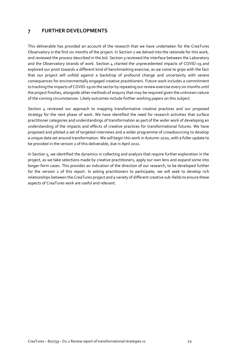# <span id="page-22-0"></span>**7 FURTHER DEVELOPMENTS**

This deliverable has provided an account of the research that we have undertaken for the CreaTures Observatory in the first six months of the project. In Section 2 we delved into the rationale for this work, and reviewed the process described in the bid. Section 3 reviewed the interface between the Laboratory and the Observatory strands of work. Section 4 charted the unprecedented impacts of COVID-19 and explored our pivot towards a different kind of benchmarking exercise, as we come to grips with the fact that our project will unfold against a backdrop of profound change and uncertainty with severe consequences for environmentally engaged creative practitioners. Future work includes a commitment to tracking the impacts of COVID-19 on the sector by repeating our review exercise every six months until the project finishes, alongside other methods of enquiry that may be required given the unknown nature of the coming circumstances. Likely outcomes include further working papers on this subject.

Section  $\mu$  reviewed our approach to mapping transformative creative practices and our proposed strategy for the next phase of work. We have identified the need for research activities that surface practitioner categories and understandings of transformation as part of the wider work of developing an understanding of the impacts and effects of creative practices for transformational futures. We have proposed and piloted a set of targeted interviews and a wider programme of crowdsourcing to develop a unique data set around transformation. We will begin this work in Autumn 2020, with a fuller update to be provided in the version 2 of this deliverable, due in April 2021.

In Section 5, we identified the dynamics in collecting and analysis that require further exploration in the project, as we take selections made by creative practitioners, apply our own lens and expand some into longer-form cases. This provides an indication of the direction of our research, to be developed further for the version 2 of this report. In asking practitioners to participate, we will seek to develop rich relationships between the CreaTures project and a variety of different creative sub-fields to ensure these aspects of CreaTures work are useful and relevant.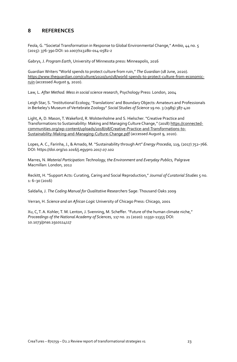# <span id="page-23-0"></span>**8 REFERENCES**

Feola, G. "Societal Transformation in Response to Global Environmental Change," *Ambio*, 44 no. 5 (2015): 376-390 DOI: 10.1007/s13280-014-0582-z

Gabrys, J. *Program Earth*, University of Minnesota press: Minneapolis, 2016

Guardian Writers "[World spends to protect culture from ruin](https://www.theguardian.com/culture/2020/jun/18/world-spends-to-protect-culture-from-economic-ruin)," *The Guardian* (18 June, 2020). [https://www.theguardian.com/culture/2020/jun/18/world-spends-to-protect-culture-from-economic](https://www.theguardian.com/culture/2020/jun/18/world-spends-to-protect-culture-from-economic-ruin)[ruin](https://www.theguardian.com/culture/2020/jun/18/world-spends-to-protect-culture-from-economic-ruin) (accessed August 9, 2020).

Law, L. *After Method: Mess in social science research*, Psychology Press: London, 2004

Leigh Star, S. "Institutional Ecology, 'Translations' and Boundary Objects: Amateurs and Professionals in Berkeley's Museum of Vertebrate Zoology" *Social Studies of Science* 19 no. 3 (1989) 387-420

Light, A, D. Mason, T. Wakeford, R. Wolstenholme and S. Hielscher. "Creative Practice and Transformations to Sustainability: Making and Managing Culture Change," (2018[\) https://connected](https://connected-communities.org/wp-content/uploads/2018/08/Creative-Practice-and-Transformations-to-Sustainability-Making-and-Managing-Culture-Change.pdf)[communities.org/wp-content/uploads/2018/08/Creative-Practice-and-Transformations-to-](https://connected-communities.org/wp-content/uploads/2018/08/Creative-Practice-and-Transformations-to-Sustainability-Making-and-Managing-Culture-Change.pdf)[Sustainability-Making-and-Managing-Culture-Change.pdf](https://connected-communities.org/wp-content/uploads/2018/08/Creative-Practice-and-Transformations-to-Sustainability-Making-and-Managing-Culture-Change.pdf) (accessed August 9, 2020).

Lopes, A. C., Farinha, J., & Amado, M. "Sustainability through Art" *Energy Procedia*, 119, (2017) 752–766. DOI: https://doi.org/10.1016/j.egypro.2017.07.102

Marres, N. *Material Participation: Technology, the Environment and Everyday Publics,* Palgrave Macmillan: London, 2012

Reckitt, H. "Support Acts: Curating, Caring and Social Reproduction," *Journal of Curatorial Studies* 5 no. 1: 6–30 (2016)

Saldaña, J. *The Coding Manual for Qualitative Researchers* Sage: Thousand Oaks 2009

Verran, H. *Science and an African Logic* University of Chicago Press: Chicago, 2001

Xu, C, T. A. Kohler, T. M. Lenton, J. Svenning, M. Scheffer. "Future of the human climate niche," *Proceedings of the National Academy of Sciences,* 117 no. 21 (2020): 11350-11355 DOI: 10.1073/pnas.1910114117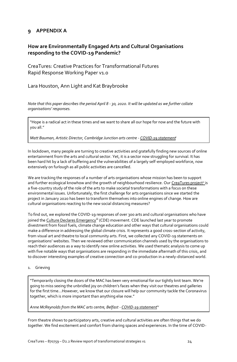# <span id="page-24-0"></span>**9 APPENDIX A**

# **How are Environmentally Engaged Arts and Cultural Organisations responding to the COVID-19 Pandemic?**

CreaTures: Creative Practices for Transformational Futures Rapid Response Working Paper v1.0

Lara Houston, Ann Light and Kat Braybrooke

*Note that this paper describes the period April 8 - 30, 2020. It will be updated as we further collate organisations' responses.*

"Hope is a radical act in these times and we want to share all our hope for now and the future with you all."

*Matt Bauman, Artistic Director, Cambridge Junction arts centre - [COVID-19 statement](https://www.junction.co.uk/news/covid-19-update)<sup>i</sup>*

In lockdown, many people are turning to creative activities and gratefully finding new sources of online entertainment from the arts and cultural sector. Yet, it is a sector now struggling for survival. It has been hard hit by a lack of buffering and the vulnerabilities of a largely self-employed workforce, now extensively on furlough as all public activities are cancelled.

We are tracking the responses of a number of arts organisations whose mission has been to support and further ecological knowhow and the growth of neighbourhood resilience. Our [CreaTures project](https://creatures-eu.org/)<sup>ii</sup> is a five-country study of the role of the arts to make societal transformations with a focus on these environmental issues. Unfortunately, the first challenge for arts organisations since we started the project in January 2020 has been to transform themselves into online engines of change. How are cultural organisations reacting to the new social distancing measures?

To find out, we explored the COVID-19 responses of over 300 arts and cultural organisations who have joined the [Culture Declares Emergency](https://www.culturedeclares.org/)<sup>iii</sup> (CDE) movement. CDE launched last year to promote divestment from fossil fuels, climate change education and other ways that cultural organisations could make a difference in addressing the global climate crisis. It represents a good cross-section of activity, from visual art and theatre to local community arts. First, we collected any COVID-19 statements on organisations' websites. Then we reviewed other communication channels used by the organisations to reach their audiences as a way to identify new online activities. We used thematic analysis to come up with five notable ways that organisations are responding in the immediate aftermath of this crisis, and to discover interesting examples of creative connection and co-production in a newly-distanced world.

#### 1. Grieving

"Temporarily closing the doors of the MAC has been very emotional for our tightly knit team. We're going to miss seeing the unbridled joy on children's faces when they visit our theatres and galleries for the first time...However, we know that our closure will help our community tackle the Coronavirus together, which is more important than anything else now."

#### *Anne McReynolds from the MAC arts centre, Belfast - [COVID-19 statement](https://themaclive.com/about-us/news/a-statement-from-our-chief-executive)iv*

From theatre shows to participatory arts, creative and cultural activities are often things that we do *together*. We find excitement and comfort from sharing spaces and experiences. In the time of COVID-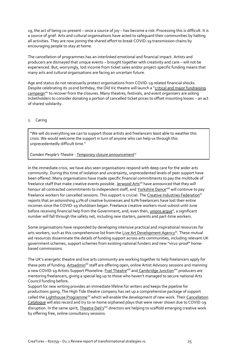19, the act of being co-present – once a source of joy – has become a risk. Processing this is difficult. It is a source of grief. Arts and cultural organisations have acted to safeguard their communities by halting all activities. They are now joining the shared effort to break COVID-19 transmission chains by encouraging people to stay at home.

The cancellation of programmes has an interlinked emotional and financial impact. Artists and producers are dismayed that unique events – brought together with creativity and care – will not be experienced. But, worryingly, lost income from ticket sales and/or project-specific funding means that many arts and cultural organisations are facing an uncertain future.

Age and status do not necessarily protect organisations from COVID-19 related financial shocks. Despite celebrating its 202nd birthday, the Old Vic theatre will launch a "[critical and major fundraising](https://www.oldvictheatre.com/news/2020/04/an-update-from-the-old-vics-artistic-director)  [campaign](https://www.oldvictheatre.com/news/2020/04/an-update-from-the-old-vics-artistic-director)"<sup>v</sup> to recover from the closures. Many theatres, festivals, and event organisers are asking ticketholders to consider donating a portion of cancelled ticket prices to offset mounting losses – an act of shared solidarity.

#### 2. Caring

"We will do everything we can to support those artists and freelancers least able to weather this crisis. We would welcome the support in turn of anyone who can help us through this unprecedentedly difficult time."

*Camden People's Theatre - [Temporary closure announcement](https://www.cptheatre.co.uk/blog/announcement-of-our-temporary-closure/)vi*

In the immediate crisis, we have also seen organisations respond with deep care for the wider arts community. During this time of isolation and uncertainty, unprecedented levels of peer support have been offered. Many organisations have made specific financial commitments to pay the multitude of freelance staff that make creative events possible. [Jerwood Arts](https://jerwoodarts.org/2020/03/27/update-in-response-to-covid-19/)<sup>vii</sup> have announced that they will honour all contracted commitments to independent staff, an[d Yorkshire Dance](https://yorkshiredance.com/news/coronavirus-updates/)<sup>viii</sup> will continue to pay freelance workers for cancelled sessions. This support is crucial. Th[e Creative Industries Federation](https://www.screendaily.com/news/all-income-wiped-out-for-42-of-firms-says-uks-creative-industries-federation/5148824.article)<sup>ix</sup> reports that an astonishing 42% of creative businesses and 62% freelancers have lost their entire incomes since the COVID-19 shutdown began. Freelance creative workers must subsist until June before receiving financial help from the Government; and, even then[, unions argue](https://www.artistsunionengland.org.uk/aue-response-to-chancellor-statement-of-self-employed-26-03-2020/)<sup>x</sup>, a significant number will fall through the safety net, including new starters, parents and part-time workers.

Some organisations have responded by developing intensive practical and inspirational resources for arts workers, such as this comprehensive list from the Live Art [Development Agency](https://www.thisisliveart.co.uk/resources/covid-19-support-resources/)<sup>xi</sup>. These mutual aid resources disseminate the details of funding support across arts communities, including relevant UK government schemes, support schemes from existing national funders and new "virus-proof" homebased commissions.

The UK's energetic theatre and live arts community are working together to help freelancers apply for these pots of funding. [Artsadmin](https://www.artsadmin.co.uk/artist-development/advice-info-training/advisory-service)<sup>xii</sup> staff are offering open, online Artist Advisory sessions and manning a new COVID-19 Artists Support Phoneline. [Fuel Theatre](https://twitter.com/FuelTheatre)<sup>xiii</sup> and [Cambridge Junction](https://twitter.com/CambJunction)<sup>xiv</sup> producers are mentoring freelancers, giving a special leg up to those who haven't managed to secure national Arts Council funding before.

Support for new writing provides an immediate lifeline for writers and keeps the pipeline for productions going. The High Tide theatre company has set up a comprehensive package of support called the [Lighthouse Programme](https://hightide.org.uk/)<sup>xv</sup> which will enable the development of new work. Their Cancellation [Catalogue](https://hightide.org.uk/lighthouse-programme/cancellation-catalogue/) will also record and try to re-home orphaned plays that were never shown due to COVID-19 disruption. In the same spirit, [Theatre Deli's](https://www.theatredeli.co.uk/blog/free-consultancy-support)<sup>xvi</sup> directors are helping to scaffold emerging creative work by offering free, online consultancy sessions.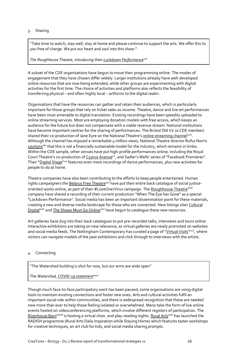3. Sharing

"Take time to watch, stay well, stay at home and please continue to support the arts. We offer this to you free of charge. We put our heart and soul into this show."

#### *The Roughhouse Theatre, introducing their [Lockdown Performance](https://www.roughhousetheatre.com/lockdown-performance)xvii*

A subset of the CDE organisations have begun to move their programming online. The modes of engagement that they have chosen differ widely. Larger institutions already have well-developed online resources that are now being extended; while other groups are experimenting with digital activities for the first time. The choice of activities and platforms also reflects the feasibility of transferring physical – and often highly local – artforms to the digital realm.

Organisations that have the resources can gather and retain their audiences, which is particularly important for those groups that rely on ticket sales as income. Theatre, dance and live art performances have been most amenable to digital translation. Existing recordings have been speedily uploaded to online streaming services. Most are employing donation models with free access, which keeps an audience for the future but does not compensate with a viable revenue stream. National institutions have become important centres for the sharing of performances. The Bristol Old Vic (a CDE member) shared their co-production of Jane Eyre on the National Theatre's <u>[online streaming channel](https://www.nationaltheatre.org.uk/nt-at-home)<sup>xviii</sup>.</u> Although the channel has enjoyed a remarkable 4 million views, National Theatre director Rufus Norris [cautions](https://www.theguardian.com/stage/2020/apr/23/national-theatre-boss-rufus-norris-covid-19)<sup>xix</sup> that this is not a financially sustainable model for the industry, which remains in limbo. Within the CDE sample, other venues have put high-profile performances online, including the Royal Court Theatre's co-production o[f Cyprus Avenue](https://royalcourttheatre.com/whats-on/cyprus-avenue-film/)<sup>xx</sup>, and Sadler's Wells' series of "Facebook Premieres". Their "<u>[Digital Stage](https://www.sadlerswells.com/whats-on/2020/digital-stage/)"XXI features even more recordings of dance performances, plus new activities for</u> people to do at home.

Theatre companies have also been contributing to the efforts to keep people entertained. Human rights campaigners the [Belarus Free Theatre](https://www.youtube.com/c/BelarusFreeTheatre)<sup>xxii</sup> have put their entire back catalogue of social justice-oriented works online, as part of their #LoveOverVirus campaign. The [Roughhouse Theatre](https://www.roughhousetheatre.com/lockdown-performance)<sup>xxiii</sup> company have shared a recording of their current production "When The Eye has Gone" as a special "Lockdown Performance". Social media has been an important dissemination point for these materials, creating a new and diverse media landscape for those who are connected. New listings site[s Cultural](https://streams.culturaldigital.com/)  [Digital](https://streams.culturaldigital.com/)<sup>xxiv</sup> an[d The Shows Must Go Online](https://theshowsmustgo.online/)<sup>xxv</sup> have begun to catalogue these new resources.

Art galleries have dug into their back catalogues to put pre-recorded talks, interviews and tours online. Interactive exhibitions are taking on new relevance, as virtual galleries are newly promoted on websites and social media feeds. The Nottingham Contemporary has curated a page of "<u>[Virtual Visits](https://www.nottinghamcontemporary.org/record/virtually-visit-us/)</u>"×××i, where visitors can navigate models of the past exhibitions and click through to interviews with the artists.

#### 4. Connecting

"The Watershed building is shut for now, but our arms are wide open"

*The Watershed[, COVID-19 statement](https://www.watershed.co.uk/news/watershed-building-shut-for-now-but-our-arms-are-wide-open)xxvii*

Though much face-to-face participatory work has been paused, some organisations are using digital tools to maintain existing connections and foster new ones. Arts and cultural activities fulfil an important social role within communities, and there is widespread recognition that these are needed now more than ever to help those feeling isolated or overwhelmed. Many take the form of live online events hosted on videoconferencing platforms, which involve different registers of participation. The [Riverhouse Barn](https://riverhousebarn.co.uk/)<sup>xxviii</sup> is hosting a virtual choir, and play-reading nights. [Rural Arts](https://www.ruralarts.org/radish)<sup>xxix</sup> has launched the RADISH programme (Rural Arts Daily Inspiration while Staying Home) which features taster workshops for creative techniques, an art club for kids, and social media sharing prompts.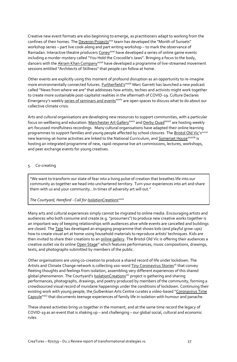Creative new event formats are also beginning to emerge, as practitioners adapt to working from the confines of their homes. The [Deveron Projects](https://www.deveron-projects.com/home/)<sup>xxx</sup> team has developed the "Month of Sunsets" workshop series – part live cook-along and part writing workshop – to mark the observance of Ramadan. Interactive theatre producer[s Coney](https://coneyhq.org/2020/04/17/coming-soon-remote-socials/)<sup>xxxi</sup> have developed a series of online game events including a murder mystery called "You Hold the Crocodile's Jaws". Bringing a focus to the body, dancers with the [Akram Khan Company](https://www.facebook.com/AkramKhanCompany/)<sup>xxxii</sup> have developed a programme of live-streamed movement sessions entitled "Architects of Stillness" that people can follow at home.

Other events are explicitly using this moment of profound disruption as an opportunity to re-imagine more environmentally connected futures. [Furtherfield's](https://soundcloud.com/furtherfield)<sup>xxxiii</sup> Marc Garrett has launched a new podcast called "News from where we are" that addresses how artists, techies and activists might work together to create more sustainable post-capitalist realities in the aftermath of COVID-19. Culture Declares Emergency's weekly [series of seminars](https://www.facebook.com/events/504052736958692/?event_time_id=504052770292022) and events<sup>xxxiv</sup> are open spaces to discuss what to do about our collective climate crisis.

Arts and cultural organisations are developing new resources to support communities, with a particular focus on wellbeing and education. [Manchester Art Gallery](https://manchesterartgallery.org/exhibitions-and-events/exhibition/stay-well/)<sup>xxxv</sup> an[d Derby Quad](https://www.derbyquad.co.uk/about/news/mindful-moments-4-snow-storm-j-m-w-turner)<sup>xxxvi</sup> are hosting weekly art-focussed mindfulness recordings. Many cultural organisations have adapted their online learning programmes to support families and young people affected by school closures. The [Bristol Old Vic](https://bristololdvic.org.uk/at-home/family-arts-hub)'s XXXVII new learning-at-home activities are linked to the National Curriculum, an[d Somerset House](https://www.somersethouse.org.uk/)<sup>xxxviii</sup> is hosting an integrated programme of new, rapid-response live art commissions, lectures, workshops, and peer exchange events for young creatives.

#### 5. Co-creating

"We want to transform our state of fear into a living pulse of creation that breathes life into our community as together we head into unchartered territory. Turn your experiences into art and share them with us and your community...In times of adversity art will out."

#### *The Courtyard, Hereford - Call fo[r IsolationCreations](https://www.courtyard.org.uk/isolationcreations/)xxxix*

Many arts and cultural experiences simply cannot be migrated to online media. Encouraging artists and audiences who both consume and create (e.g. "prosumers") to produce new creative works together is an important way of keeping relationships with audiences alive while events are cancelled and buildings are closed. Th[e Tate](https://www.tate.org.uk/kids) has developed an engaging programme that shows kids (and playful grow-ups) how to create visual art at home using household materials to reproduce artists' techniques. Kids are then invited to share their creations to an [online gallery.](https://www.tate.org.uk/kids/gallery) The Bristol Old Vic is offering their audiences a creative outlet via its online [Open Stage](https://bristololdvic.org.uk/at-home/open-stage-online)<sup>xl</sup> which features performances, music compositions, drawings, texts, and photographs submitted by members of the public.

Other organisations are using co-creation to produce a shared record of life under lockdown. The Artists and Climate Change network is collecting 100-word [Tiny Coronavirus Stories](https://artistsandclimatechange.com/2020/03/17/tell-us-your-coronavirus-story/)<sup>xli</sup> that convey fleeting thoughts and feelings from isolation, assembling very different experiences of this shared global phenomenon. The Courtyard's **[IsolationCreations](https://www.courtyard.org.uk/isolationcreations/)<sup>xlii</sup> project is gathering and sharing** performances, photographs, drawings, and poetry produced by members of the community, forming a crowdsourced visual record of mundane happenings under the conditions of lockdown. Continuing their existing work with young people, the Gulbenkian Arts Centre curates a video-based "[Coronavirus Time](https://thegulbenkian.co.uk/what-we-do/the-coronavirus-time-capsule/)  [Capsule](https://thegulbenkian.co.uk/what-we-do/the-coronavirus-time-capsule/)"<sup>xliii</sup> that documents teenage experiences of family life in isolation with humour and panache.

These shared activities bring us together in the moment, and at the same time record the legacy of COVID-19 as an event that is shaking up – and challenging – our global social, cultural and economic rules.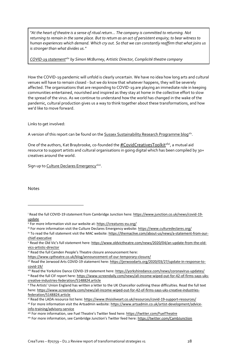"At the heart of theatre is a sense of ritual return... The company is committed to returning. Not *returning to remain in the same place. But to return as an act of persistent enquiry; to bear witness to human experiences which demand. Which cry out. So that we can constantly reaffirm that what joins us is stronger than what divides us."*

*[COVID-19 statement](http://www.complicite.org/current.php?section=4)xliv by Simon McBurney, Artistic Director, Complicité theatre company*

How the COVID-19 pandemic will unfold is clearly uncertain. We have no idea how long arts and cultural venues will have to remain closed - but we do know that whatever happens, they will be severely affected. The organisations that are responding to COVID-19 are playing an immediate role in keeping communities entertained, nourished and inspired as they stay at home in the collective effort to slow the spread of the virus. As we continue to understand how the world has changed in the wake of the pandemic, cultural production gives us a way to think together about these transformations, and how we'd like to move forward.

Links to get involved:

A version of this report can be found on the <u>Sussex Sustainability Research Programme blog</u>×l<sup>v</sup>.

One of the authors, Kat Braybrooke, co-founded the **[#CovidCreativesToolkit](https://blog.codekat.net/post/614021219451273216/covid-creatives-toolkit-mutual-aid-for-digital)<sup>xlvi</sup>, a mutual aid** resource to support artists and cultural organisations in going digital which has been compiled by 30+ creatives around the world.

Sign up to [Culture Declares Emergency](https://www.culturedeclares.org/)<sup>xlvii</sup>.

Notes

vi Read the full Camden People's Theatre closure announcement here:

<https://www.cptheatre.co.uk/blog/announcement-of-our-temporary-closure/>

<sup>&</sup>lt;sup>i</sup> Read the full COVID-19 statement from Cambridge Junction here: [https://www.junction.co.uk/news/covid-19](https://www.junction.co.uk/news/covid-19-update) [update](https://www.junction.co.uk/news/covid-19-update)

ii For more information visit our website at[: https://creatures-eu.org/](https://creatures-eu.org/)

iii For more information visit the Culture Declares Emergency website:<https://www.culturedeclares.org/>

iv To read the full statement visit the MAC website: [https://themaclive.com/about-us/news/a-statement-from-our](https://themaclive.com/about-us/news/a-statement-from-our-chief-executive)[chief-executive](https://themaclive.com/about-us/news/a-statement-from-our-chief-executive)

<sup>v</sup> Read the Old Vic's full statement here: [https://www.oldvictheatre.com/news/2020/04/an-update-from-the-old](https://www.oldvictheatre.com/news/2020/04/an-update-from-the-old-vics-artistic-director)[vics-artistic-director](https://www.oldvictheatre.com/news/2020/04/an-update-from-the-old-vics-artistic-director)

vii Read the Jerwood Arts COVID-19 statement here: [https://jerwoodarts.org/2020/03/27/update-in-response-to](https://jerwoodarts.org/2020/03/27/update-in-response-to-covid-19/)[covid-19/](https://jerwoodarts.org/2020/03/27/update-in-response-to-covid-19/)

viii Read the Yorkshire Dance COVID-19 statement here:<https://yorkshiredance.com/news/coronavirus-updates/>

ix Read the full CIF report here[: https://www.screendaily.com/news/all-income-wiped-out-for-42-of-firms-says-uks](https://www.screendaily.com/news/all-income-wiped-out-for-42-of-firms-says-uks-creative-industries-federation/5148824.article)[creative-industries-federation/5148824.article](https://www.screendaily.com/news/all-income-wiped-out-for-42-of-firms-says-uks-creative-industries-federation/5148824.article)

<sup>x</sup> The Artists' Union England has written a letter to the UK Chancellor outlining these difficulties. Read the full text here[: https://www.screendaily.com/news/all-income-wiped-out-for-42-of-firms-says-uks-creative-industries](https://www.screendaily.com/news/all-income-wiped-out-for-42-of-firms-says-uks-creative-industries-federation/5148824.article)[federation/5148824.article](https://www.screendaily.com/news/all-income-wiped-out-for-42-of-firms-says-uks-creative-industries-federation/5148824.article)

xi Read the LADA resource list here:<https://www.thisisliveart.co.uk/resources/covid-19-support-resources/> xii For more information visit the Artsadmin website: [https://www.artsadmin.co.uk/artist-development/advice](https://www.artsadmin.co.uk/artist-development/advice-info-training/advisory-service)[info-training/advisory-service](https://www.artsadmin.co.uk/artist-development/advice-info-training/advisory-service)

xiii For more information, see Fuel Theatre's Twitter feed here: <https://twitter.com/FuelTheatre>

xiv For more information, see Cambridge Junction's Twitter feed here: <https://twitter.com/CambJunction>